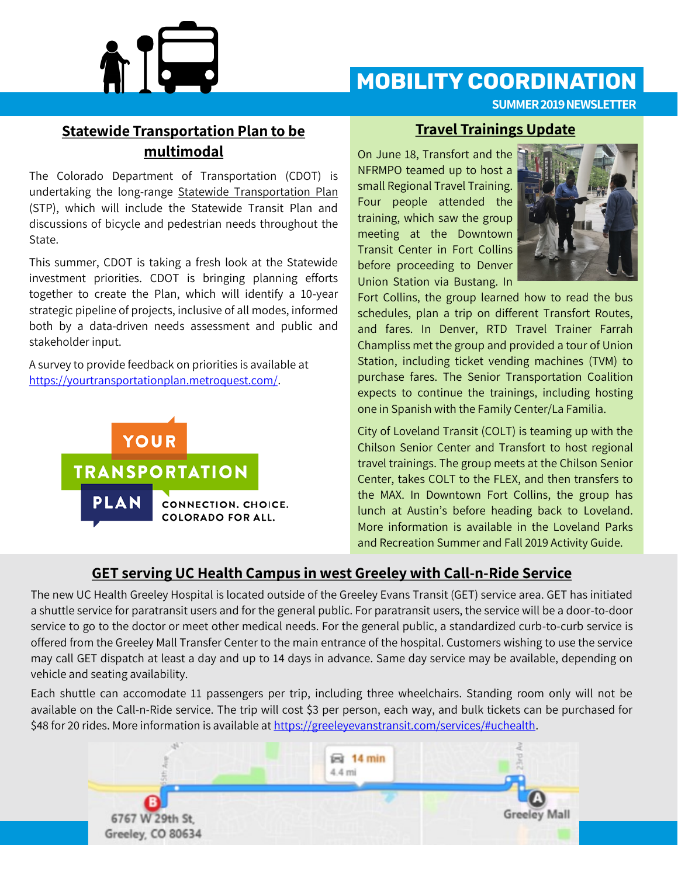

# **MOBILITY COORDINATION**

**SUMMER 2019 NEWSLETTER**

## **Statewide Transportation Plan to be multimodal**

The Colorado Department of Transportation (CDOT) is undertaking the long-range Statewide Transportation Plan (STP), which will include the Statewide Transit Plan and discussions of bicycle and pedestrian needs throughout the State.

This summer, CDOT is taking a fresh look at the Statewide investment priorities. CDOT is bringing planning efforts together to create the Plan, which will identify a 10-year strategic pipeline of projects, inclusive of all modes, informed both by a data-driven needs assessment and public and stakeholder input.

A survey to provide feedback on priorities is available at [https://yourtransportationplan.metroquest.com/.](https://yourtransportationplan.metroquest.com/) 



#### **Travel Trainings Update**

On June 18, Transfort and the NFRMPO teamed up to host a small Regional Travel Training. Four people attended the training, which saw the group meeting at the Downtown Transit Center in Fort Collins before proceeding to Denver Union Station via Bustang. In



Fort Collins, the group learned how to read the bus schedules, plan a trip on different Transfort Routes, and fares. In Denver, RTD Travel Trainer Farrah Champliss met the group and provided a tour of Union Station, including ticket vending machines (TVM) to purchase fares. The Senior Transportation Coalition expects to continue the trainings, including hosting one in Spanish with the Family Center/La Familia.

City of Loveland Transit (COLT) is teaming up with the Chilson Senior Center and Transfort to host regional travel trainings. The group meets at the Chilson Senior Center, takes COLT to the FLEX, and then transfers to the MAX. In Downtown Fort Collins, the group has lunch at Austin's before heading back to Loveland. More information is available in the Loveland Parks and Recreation Summer and Fall 2019 Activity Guide.

#### **GET serving UC Health Campus in west Greeley with Call-n-Ride Service**

The new UC Health Greeley Hospital is located outside of the Greeley Evans Transit (GET) service area. GET has initiated a shuttle service for paratransit users and for the general public. For paratransit users, the service will be a door-to-door service to go to the doctor or meet other medical needs. For the general public, a standardized curb-to-curb service is offered from the Greeley Mall Transfer Center to the main entrance of the hospital. Customers wishing to use the service may call GET dispatch at least a day and up to 14 days in advance. Same day service may be available, depending on vehicle and seating availability.

Each shuttle can accomodate 11 passengers per trip, including three wheelchairs. Standing room only will not be available on the Call-n-Ride service. The trip will cost \$3 per person, each way, and bulk tickets can be purchased for \$48 for 20 rides. More information is available at [https://greeleyevanstransit.com/services/#uchealth.](https://greeleyevanstransit.com/services/#uchealth)